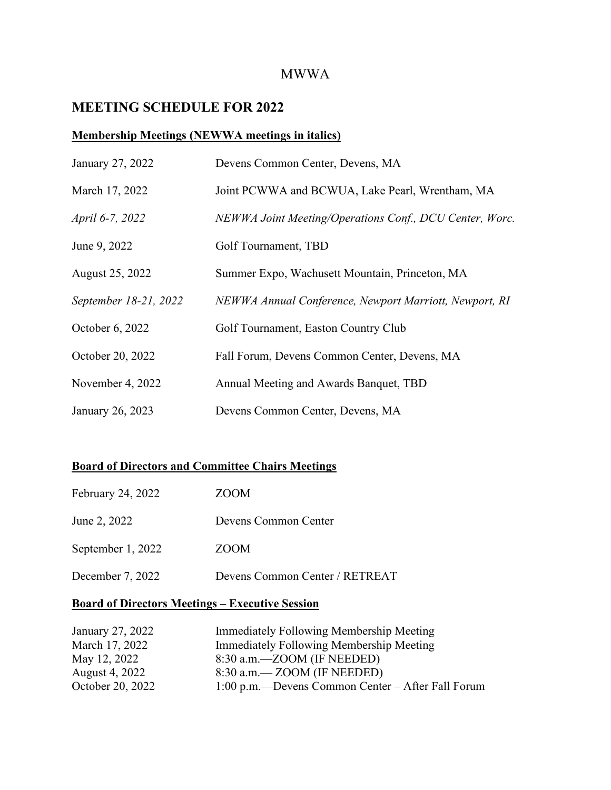### MWWA

## **MEETING SCHEDULE FOR 2022**

#### **Membership Meetings (NEWWA meetings in italics)**

| January 27, 2022      | Devens Common Center, Devens, MA                        |
|-----------------------|---------------------------------------------------------|
| March 17, 2022        | Joint PCWWA and BCWUA, Lake Pearl, Wrentham, MA         |
| April 6-7, 2022       | NEWWA Joint Meeting/Operations Conf., DCU Center, Worc. |
| June 9, 2022          | Golf Tournament, TBD                                    |
| August 25, 2022       | Summer Expo, Wachusett Mountain, Princeton, MA          |
| September 18-21, 2022 | NEWWA Annual Conference, Newport Marriott, Newport, RI  |
| October 6, 2022       | Golf Tournament, Easton Country Club                    |
| October 20, 2022      | Fall Forum, Devens Common Center, Devens, MA            |
| November 4, 2022      | Annual Meeting and Awards Banquet, TBD                  |
| January 26, 2023      | Devens Common Center, Devens, MA                        |

#### **Board of Directors and Committee Chairs Meetings**

| February 24, 2022 | ZOOM                           |
|-------------------|--------------------------------|
| June 2, 2022      | Devens Common Center           |
| September 1, 2022 | <b>ZOOM</b>                    |
| December 7, 2022  | Devens Common Center / RETREAT |

#### **Board of Directors Meetings – Executive Session**

| January 27, 2022 | Immediately Following Membership Meeting          |
|------------------|---------------------------------------------------|
| March 17, 2022   | Immediately Following Membership Meeting          |
| May 12, 2022     | 8:30 a.m.—ZOOM (IF NEEDED)                        |
| August 4, 2022   | $8:30$ a.m. $-$ ZOOM (IF NEEDED)                  |
| October 20, 2022 | 1:00 p.m.—Devens Common Center – After Fall Forum |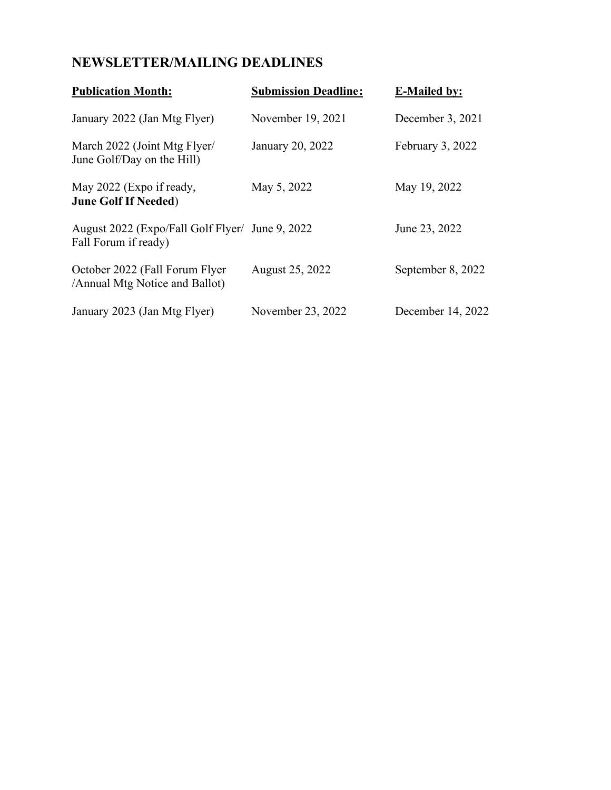# **NEWSLETTER/MAILING DEADLINES**

| <b>Publication Month:</b>                                               | <b>Submission Deadline:</b> | <b>E-Mailed by:</b> |
|-------------------------------------------------------------------------|-----------------------------|---------------------|
| January 2022 (Jan Mtg Flyer)                                            | November 19, 2021           | December 3, 2021    |
| March 2022 (Joint Mtg Flyer/<br>June Golf/Day on the Hill)              | January 20, 2022            | February 3, 2022    |
| May 2022 (Expo if ready,<br><b>June Golf If Needed)</b>                 | May 5, 2022                 | May 19, 2022        |
| August 2022 (Expo/Fall Golf Flyer/ June 9, 2022<br>Fall Forum if ready) |                             | June 23, 2022       |
| October 2022 (Fall Forum Flyer<br>/Annual Mtg Notice and Ballot)        | August 25, 2022             | September 8, 2022   |
| January 2023 (Jan Mtg Flyer)                                            | November 23, 2022           | December 14, 2022   |